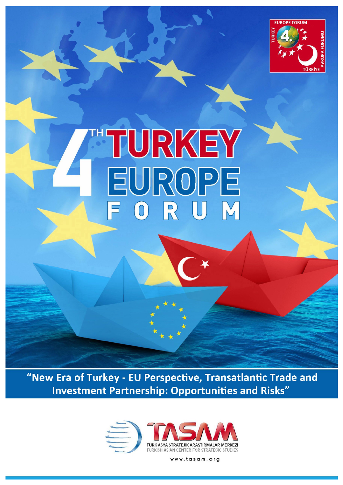

# TURKEY EUROPE  $R$  $\overline{\mathsf{E}}$

"New Era of Turkey - EU Perspective, Transatlantic Trade and **Investment Partnership: Opportunities and Risks"** 



www.tasam.org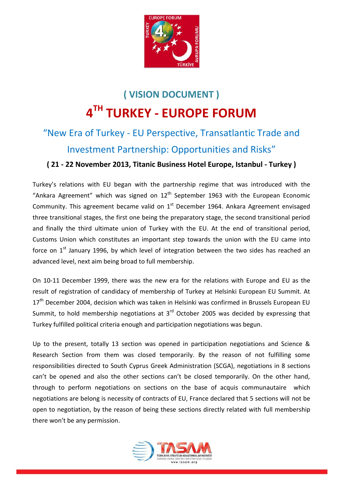

# **( VISION DOCUMENT ) 4 TH TURKEY - EUROPE FORUM**

# "New Era of Turkey - EU Perspective, Transatlantic Trade and Investment Partnership: Opportunities and Risks"

## **( 21 - 22 November 2013, Titanic Business Hotel Europe, Istanbul - Turkey )**

Turkey's relations with EU began with the partnership regime that was introduced with the "Ankara Agreement" which was signed on  $12<sup>th</sup>$  September 1963 with the European Economic Community. This agreement became valid on  $1<sup>st</sup>$  December 1964. Ankara Agreement envisaged three transitional stages, the first one being the preparatory stage, the second transitional period and finally the third ultimate union of Turkey with the EU. At the end of transitional period, Customs Union which constitutes an important step towards the union with the EU came into force on  $1<sup>st</sup>$  January 1996, by which level of integration between the two sides has reached an advanced level, next aim being broad to full membership.

On 10-11 December 1999, there was the new era for the relations with Europe and EU as the result of registration of candidacy of membership of Turkey at Helsinki European EU Summit. At 17<sup>th</sup> December 2004, decision which was taken in Helsinki was confirmed in Brussels European EU Summit, to hold membership negotiations at  $3<sup>rd</sup>$  October 2005 was decided by expressing that Turkey fulfilled political criteria enough and participation negotiations was begun.

Up to the present, totally 13 section was opened in participation negotiations and Science & Research Section from them was closed temporarily. By the reason of not fulfilling some responsibilities directed to South Cyprus Greek Administration (SCGA), negotiations in 8 sections can't be opened and also the other sections can't be closed temporarily. On the other hand, through to perform negotiations on sections on the base of acquis communautaire which negotiations are belong is necessity of contracts of EU, France declared that 5 sections will not be open to negotiation, by the reason of being these sections directly related with full membership there won't be any permission.

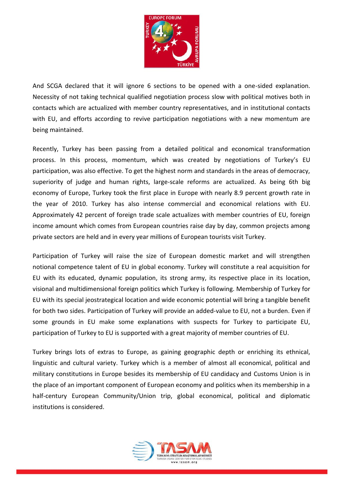

And SCGA declared that it will ignore 6 sections to be opened with a one-sided explanation. Necessity of not taking technical qualified negotiation process slow with political motives both in contacts which are actualized with member country representatives, and in institutional contacts with EU, and efforts according to revive participation negotiations with a new momentum are being maintained.

Recently, Turkey has been passing from a detailed political and economical transformation process. In this process, momentum, which was created by negotiations of Turkey's EU participation, was also effective. To get the highest norm and standards in the areas of democracy, superiority of judge and human rights, large-scale reforms are actualized. As being 6th big economy of Europe, Turkey took the first place in Europe with nearly 8.9 percent growth rate in the year of 2010. Turkey has also intense commercial and economical relations with EU. Approximately 42 percent of foreign trade scale actualizes with member countries of EU, foreign income amount which comes from European countries raise day by day, common projects among private sectors are held and in every year millions of European tourists visit Turkey.

Participation of Turkey will raise the size of European domestic market and will strengthen notional competence talent of EU in global economy. Turkey will constitute a real acquisition for EU with its educated, dynamic population, its strong army, its respective place in its location, visional and multidimensional foreign politics which Turkey is following. Membership of Turkey for EU with its special jeostrategical location and wide economic potential will bring a tangible benefit for both two sides. Participation of Turkey will provide an added-value to EU, not a burden. Even if some grounds in EU make some explanations with suspects for Turkey to participate EU, participation of Turkey to EU is supported with a great majority of member countries of EU.

Turkey brings lots of extras to Europe, as gaining geographic depth or enriching its ethnical, linguistic and cultural variety. Turkey which is a member of almost all economical, political and military constitutions in Europe besides its membership of EU candidacy and Customs Union is in the place of an important component of European economy and politics when its membership in a half-century European Community/Union trip, global economical, political and diplomatic institutions is considered.

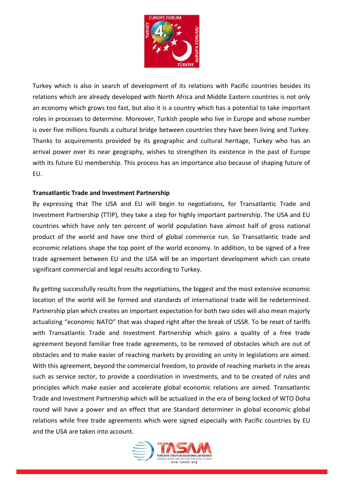

Turkey which is also in search of development of its relations with Pacific countries besides its relations which are already developed with North Africa and Middle Eastern countries is not only an economy which grows too fast, but also it is a country which has a potential to take important roles in processes to determine. Moreover, Turkish people who live in Europe and whose number is over five millions founds a cultural bridge between countries they have been living and Turkey. Thanks to acquirements provided by its geographic and cultural heritage, Turkey who has an arrival power over its near geography, wishes to strengthen its existence in the past of Europe with its future EU membership. This process has an importance also because of shaping future of EU.

#### **Transatlantic Trade and Investment Partnership**

By expressing that The USA and EU will begin to negotiations, for Transatlantic Trade and Investment Partnership (TTIP), they take a step for highly important partnership. The USA and EU countries which have only ten percent of world population have almost half of gross national product of the world and have one third of global commerce run. So Transatlantic trade and economic relations shape the top point of the world economy. In addition, to be signed of a free trade agreement between EU and the USA will be an important development which can create significant commercial and legal results according to Turkey.

By getting successfully results from the negotiations, the biggest and the most extensive economic location of the world will be formed and standards of international trade will be redetermined. Partnership plan which creates an important expectation for both two sides will also mean majorly actualizing "economic NATO" that was shaped right after the break of USSR. To be reset of tariffs with Transatlantic Trade and Investment Partnership which gains a quality of a free trade agreement beyond familiar free trade agreements, to be removed of obstacles which are out of obstacles and to make easier of reaching markets by providing an unity in legislations are aimed. With this agreement, beyond the commercial freedom, to provide of reaching markets in the areas such as service sector, to provide a coordination in investments, and to be created of rules and principles which make easier and accelerate global economic relations are aimed. Transatlantic Trade and Investment Partnership which will be actualized in the era of being locked of WTO Doha round will have a power and an effect that are Standard determiner in global economic global relations while free trade agreements which were signed especially with Pacific countries by EU and the USA are taken into account.

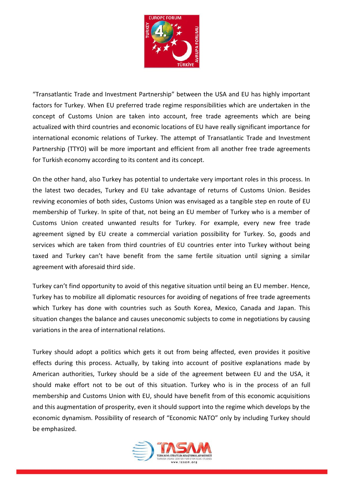

"Transatlantic Trade and Investment Partnership" between the USA and EU has highly important factors for Turkey. When EU preferred trade regime responsibilities which are undertaken in the concept of Customs Union are taken into account, free trade agreements which are being actualized with third countries and economic locations of EU have really significant importance for international economic relations of Turkey. The attempt of Transatlantic Trade and Investment Partnership (TTYO) will be more important and efficient from all another free trade agreements for Turkish economy according to its content and its concept.

On the other hand, also Turkey has potential to undertake very important roles in this process. In the latest two decades, Turkey and EU take advantage of returns of Customs Union. Besides reviving economies of both sides, Customs Union was envisaged as a tangible step en route of EU membership of Turkey. In spite of that, not being an EU member of Turkey who is a member of Customs Union created unwanted results for Turkey. For example, every new free trade agreement signed by EU create a commercial variation possibility for Turkey. So, goods and services which are taken from third countries of EU countries enter into Turkey without being taxed and Turkey can't have benefit from the same fertile situation until signing a similar agreement with aforesaid third side.

Turkey can't find opportunity to avoid of this negative situation until being an EU member. Hence, Turkey has to mobilize all diplomatic resources for avoiding of negations of free trade agreements which Turkey has done with countries such as South Korea, Mexico, Canada and Japan. This situation changes the balance and causes uneconomic subjects to come in negotiations by causing variations in the area of international relations.

Turkey should adopt a politics which gets it out from being affected, even provides it positive effects during this process. Actually, by taking into account of positive explanations made by American authorities, Turkey should be a side of the agreement between EU and the USA, it should make effort not to be out of this situation. Turkey who is in the process of an full membership and Customs Union with EU, should have benefit from of this economic acquisitions and this augmentation of prosperity, even it should support into the regime which develops by the economic dynamism. Possibility of research of "Economic NATO" only by including Turkey should be emphasized.